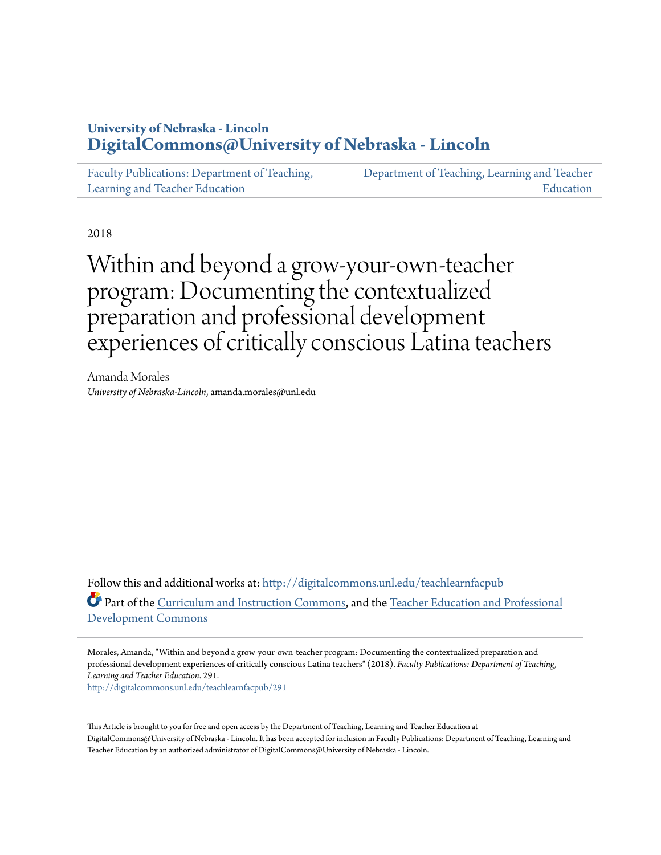## **University of Nebraska - Lincoln [DigitalCommons@University of Nebraska - Lincoln](http://digitalcommons.unl.edu?utm_source=digitalcommons.unl.edu%2Fteachlearnfacpub%2F291&utm_medium=PDF&utm_campaign=PDFCoverPages)**

| Faculty Publications: Department of Teaching, | Department of Teaching, Learning and Teacher |
|-----------------------------------------------|----------------------------------------------|
| Learning and Teacher Education                | Education                                    |

2018

# Within and beyond a grow-your-own-teacher program: Documenting the contextualized preparation and professional development experiences of critically conscious Latina teachers

Amanda Morales *University of Nebraska-Lincoln*, amanda.morales@unl.edu

Follow this and additional works at: [http://digitalcommons.unl.edu/teachlearnfacpub](http://digitalcommons.unl.edu/teachlearnfacpub?utm_source=digitalcommons.unl.edu%2Fteachlearnfacpub%2F291&utm_medium=PDF&utm_campaign=PDFCoverPages) Part of the [Curriculum and Instruction Commons](http://network.bepress.com/hgg/discipline/786?utm_source=digitalcommons.unl.edu%2Fteachlearnfacpub%2F291&utm_medium=PDF&utm_campaign=PDFCoverPages), and the [Teacher Education and Professional](http://network.bepress.com/hgg/discipline/803?utm_source=digitalcommons.unl.edu%2Fteachlearnfacpub%2F291&utm_medium=PDF&utm_campaign=PDFCoverPages) [Development Commons](http://network.bepress.com/hgg/discipline/803?utm_source=digitalcommons.unl.edu%2Fteachlearnfacpub%2F291&utm_medium=PDF&utm_campaign=PDFCoverPages)

Morales, Amanda, "Within and beyond a grow-your-own-teacher program: Documenting the contextualized preparation and professional development experiences of critically conscious Latina teachers" (2018). *Faculty Publications: Department of Teaching, Learning and Teacher Education*. 291.

[http://digitalcommons.unl.edu/teachlearnfacpub/291](http://digitalcommons.unl.edu/teachlearnfacpub/291?utm_source=digitalcommons.unl.edu%2Fteachlearnfacpub%2F291&utm_medium=PDF&utm_campaign=PDFCoverPages)

This Article is brought to you for free and open access by the Department of Teaching, Learning and Teacher Education at DigitalCommons@University of Nebraska - Lincoln. It has been accepted for inclusion in Faculty Publications: Department of Teaching, Learning and Teacher Education by an authorized administrator of DigitalCommons@University of Nebraska - Lincoln.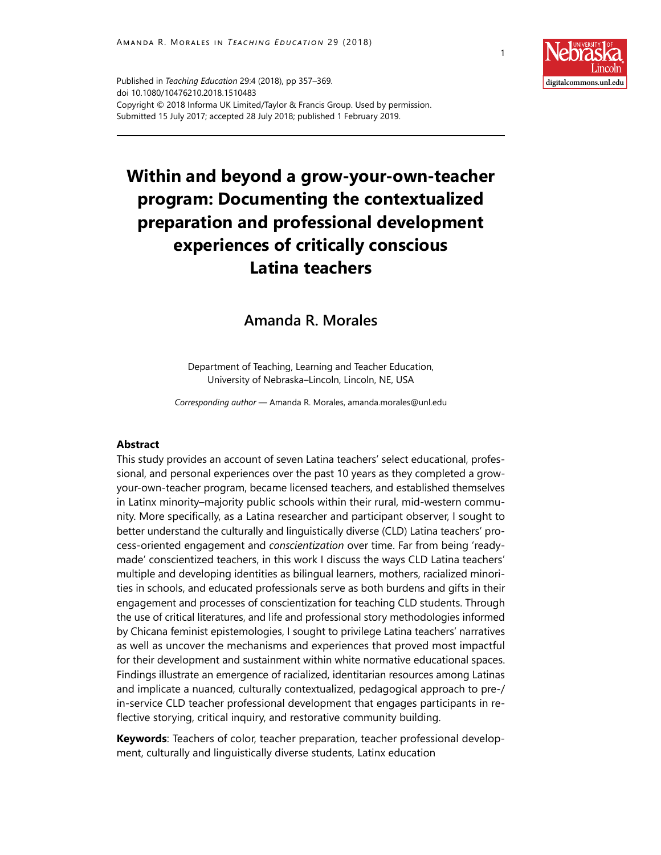

Published in *Teaching Education* 29:4 (2018), pp 357–369. doi 10.1080/10476210.2018.1510483 Copyright © 2018 Informa UK Limited/Taylor & Francis Group. Used by permission. Submitted 15 July 2017; accepted 28 July 2018; published 1 February 2019.

# **Within and beyond a grow-your-own-teacher program: Documenting the contextualized preparation and professional development experiences of critically conscious Latina teachers**

<u>1</u> The contract of the contract of the contract of the contract of the contract of the contract of the contract of

### **Amanda R. Morales**

Department of Teaching, Learning and Teacher Education, University of Nebraska–Lincoln, Lincoln, NE, USA

*Corresponding author* — Amanda R. Morales, amanda.morales@unl.edu

#### **Abstract**

This study provides an account of seven Latina teachers' select educational, professional, and personal experiences over the past 10 years as they completed a growyour-own-teacher program, became licensed teachers, and established themselves in Latinx minority–majority public schools within their rural, mid-western community. More specifically, as a Latina researcher and participant observer, I sought to better understand the culturally and linguistically diverse (CLD) Latina teachers' process-oriented engagement and *conscientization* over time. Far from being 'readymade' conscientized teachers, in this work I discuss the ways CLD Latina teachers' multiple and developing identities as bilingual learners, mothers, racialized minorities in schools, and educated professionals serve as both burdens and gifts in their engagement and processes of conscientization for teaching CLD students. Through the use of critical literatures, and life and professional story methodologies informed by Chicana feminist epistemologies, I sought to privilege Latina teachers' narratives as well as uncover the mechanisms and experiences that proved most impactful for their development and sustainment within white normative educational spaces. Findings illustrate an emergence of racialized, identitarian resources among Latinas and implicate a nuanced, culturally contextualized, pedagogical approach to pre-/ in-service CLD teacher professional development that engages participants in reflective storying, critical inquiry, and restorative community building.

**Keywords**: Teachers of color, teacher preparation, teacher professional development, culturally and linguistically diverse students, Latinx education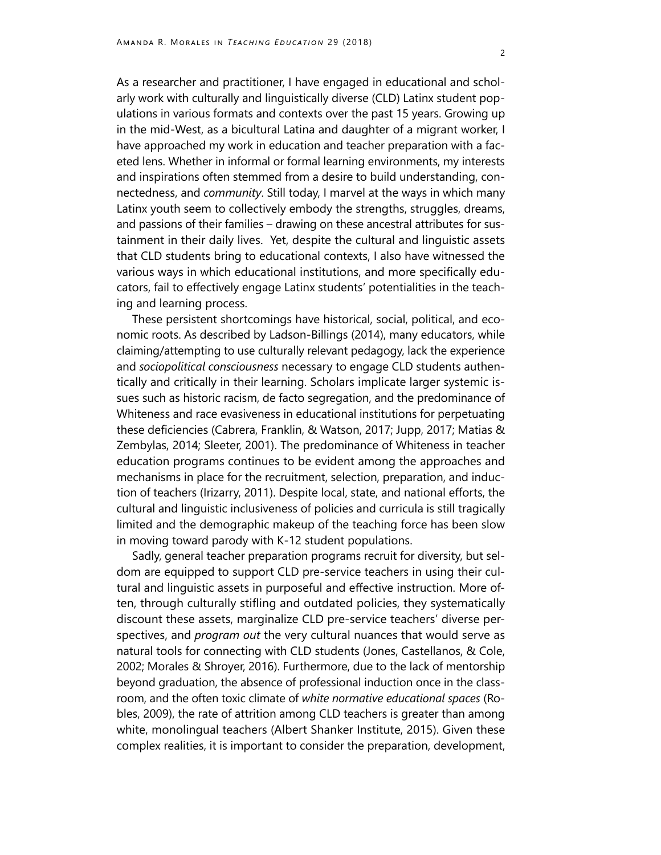As a researcher and practitioner, I have engaged in educational and scholarly work with culturally and linguistically diverse (CLD) Latinx student populations in various formats and contexts over the past 15 years. Growing up in the mid-West, as a bicultural Latina and daughter of a migrant worker, I have approached my work in education and teacher preparation with a faceted lens. Whether in informal or formal learning environments, my interests and inspirations often stemmed from a desire to build understanding, connectedness, and *community*. Still today, I marvel at the ways in which many Latinx youth seem to collectively embody the strengths, struggles, dreams, and passions of their families – drawing on these ancestral attributes for sustainment in their daily lives. Yet, despite the cultural and linguistic assets that CLD students bring to educational contexts, I also have witnessed the various ways in which educational institutions, and more specifically educators, fail to effectively engage Latinx students' potentialities in the teaching and learning process.

These persistent shortcomings have historical, social, political, and economic roots. As described by Ladson-Billings (2014), many educators, while claiming/attempting to use culturally relevant pedagogy, lack the experience and *sociopolitical consciousness* necessary to engage CLD students authentically and critically in their learning. Scholars implicate larger systemic issues such as historic racism, de facto segregation, and the predominance of Whiteness and race evasiveness in educational institutions for perpetuating these deficiencies (Cabrera, Franklin, & Watson, 2017; Jupp, 2017; Matias & Zembylas, 2014; Sleeter, 2001). The predominance of Whiteness in teacher education programs continues to be evident among the approaches and mechanisms in place for the recruitment, selection, preparation, and induction of teachers (Irizarry, 2011). Despite local, state, and national efforts, the cultural and linguistic inclusiveness of policies and curricula is still tragically limited and the demographic makeup of the teaching force has been slow in moving toward parody with K-12 student populations.

Sadly, general teacher preparation programs recruit for diversity, but seldom are equipped to support CLD pre-service teachers in using their cultural and linguistic assets in purposeful and effective instruction. More often, through culturally stifling and outdated policies, they systematically discount these assets, marginalize CLD pre-service teachers' diverse perspectives, and *program out* the very cultural nuances that would serve as natural tools for connecting with CLD students (Jones, Castellanos, & Cole, 2002; Morales & Shroyer, 2016). Furthermore, due to the lack of mentorship beyond graduation, the absence of professional induction once in the classroom, and the often toxic climate of *white normative educational spaces* (Robles, 2009), the rate of attrition among CLD teachers is greater than among white, monolingual teachers (Albert Shanker Institute, 2015). Given these complex realities, it is important to consider the preparation, development,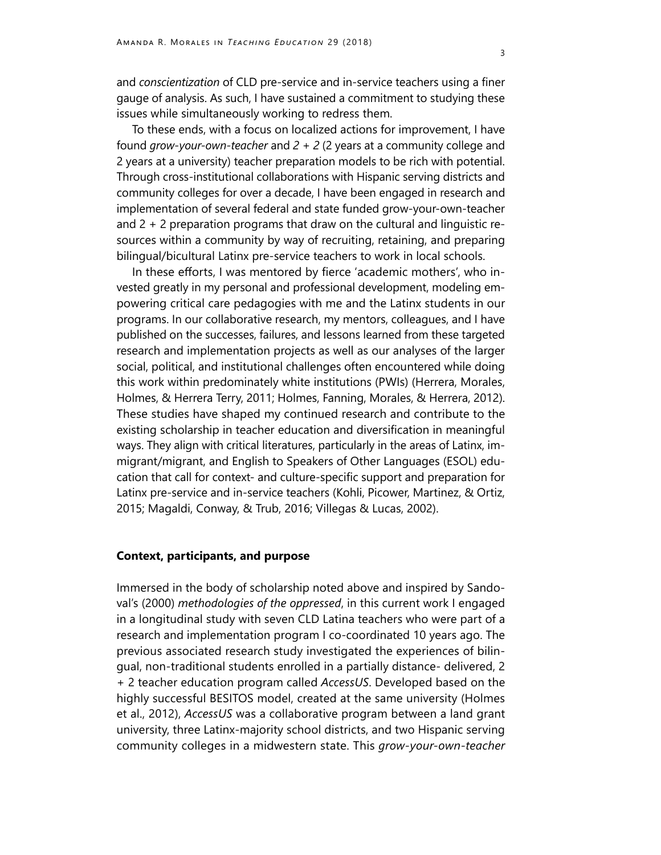and *conscientization* of CLD pre-service and in-service teachers using a finer gauge of analysis. As such, I have sustained a commitment to studying these issues while simultaneously working to redress them.

To these ends, with a focus on localized actions for improvement, I have found *grow-your-own-teacher* and *2 + 2* (2 years at a community college and 2 years at a university) teacher preparation models to be rich with potential. Through cross-institutional collaborations with Hispanic serving districts and community colleges for over a decade, I have been engaged in research and implementation of several federal and state funded grow-your-own-teacher and 2 + 2 preparation programs that draw on the cultural and linguistic resources within a community by way of recruiting, retaining, and preparing bilingual/bicultural Latinx pre-service teachers to work in local schools.

In these efforts, I was mentored by fierce 'academic mothers', who invested greatly in my personal and professional development, modeling empowering critical care pedagogies with me and the Latinx students in our programs. In our collaborative research, my mentors, colleagues, and I have published on the successes, failures, and lessons learned from these targeted research and implementation projects as well as our analyses of the larger social, political, and institutional challenges often encountered while doing this work within predominately white institutions (PWIs) (Herrera, Morales, Holmes, & Herrera Terry, 2011; Holmes, Fanning, Morales, & Herrera, 2012). These studies have shaped my continued research and contribute to the existing scholarship in teacher education and diversification in meaningful ways. They align with critical literatures, particularly in the areas of Latinx, immigrant/migrant, and English to Speakers of Other Languages (ESOL) education that call for context- and culture-specific support and preparation for Latinx pre-service and in-service teachers (Kohli, Picower, Martinez, & Ortiz, 2015; Magaldi, Conway, & Trub, 2016; Villegas & Lucas, 2002).

#### **Context, participants, and purpose**

Immersed in the body of scholarship noted above and inspired by Sandoval's (2000) *methodologies of the oppressed*, in this current work I engaged in a longitudinal study with seven CLD Latina teachers who were part of a research and implementation program I co-coordinated 10 years ago. The previous associated research study investigated the experiences of bilingual, non-traditional students enrolled in a partially distance- delivered, 2 + 2 teacher education program called *AccessUS*. Developed based on the highly successful BESITOS model, created at the same university (Holmes et al., 2012), *AccessUS* was a collaborative program between a land grant university, three Latinx-majority school districts, and two Hispanic serving community colleges in a midwestern state. This *grow-your-own-teacher*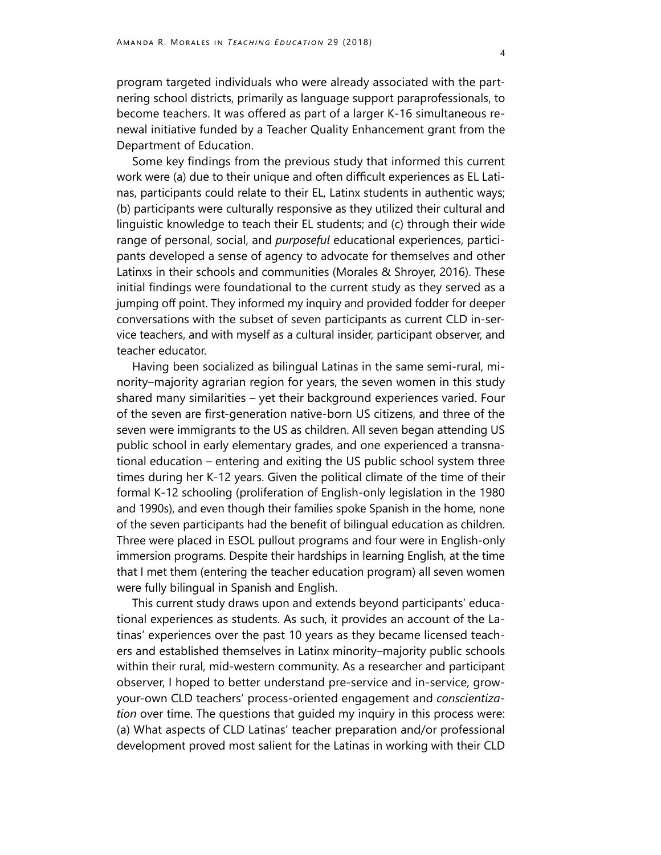program targeted individuals who were already associated with the partnering school districts, primarily as language support paraprofessionals, to become teachers. It was offered as part of a larger K-16 simultaneous renewal initiative funded by a Teacher Quality Enhancement grant from the Department of Education.

Some key findings from the previous study that informed this current work were (a) due to their unique and often difficult experiences as EL Latinas, participants could relate to their EL, Latinx students in authentic ways; (b) participants were culturally responsive as they utilized their cultural and linguistic knowledge to teach their EL students; and (c) through their wide range of personal, social, and *purposeful* educational experiences, participants developed a sense of agency to advocate for themselves and other Latinxs in their schools and communities (Morales & Shroyer, 2016). These initial findings were foundational to the current study as they served as a jumping off point. They informed my inquiry and provided fodder for deeper conversations with the subset of seven participants as current CLD in-service teachers, and with myself as a cultural insider, participant observer, and teacher educator.

Having been socialized as bilingual Latinas in the same semi-rural, minority–majority agrarian region for years, the seven women in this study shared many similarities – yet their background experiences varied. Four of the seven are first-generation native-born US citizens, and three of the seven were immigrants to the US as children. All seven began attending US public school in early elementary grades, and one experienced a transnational education – entering and exiting the US public school system three times during her K-12 years. Given the political climate of the time of their formal K-12 schooling (proliferation of English-only legislation in the 1980 and 1990s), and even though their families spoke Spanish in the home, none of the seven participants had the benefit of bilingual education as children. Three were placed in ESOL pullout programs and four were in English-only immersion programs. Despite their hardships in learning English, at the time that I met them (entering the teacher education program) all seven women were fully bilingual in Spanish and English.

This current study draws upon and extends beyond participants' educational experiences as students. As such, it provides an account of the Latinas' experiences over the past 10 years as they became licensed teachers and established themselves in Latinx minority–majority public schools within their rural, mid-western community. As a researcher and participant observer, I hoped to better understand pre-service and in-service, growyour-own CLD teachers' process-oriented engagement and *conscientization* over time. The questions that guided my inquiry in this process were: (a) What aspects of CLD Latinas' teacher preparation and/or professional development proved most salient for the Latinas in working with their CLD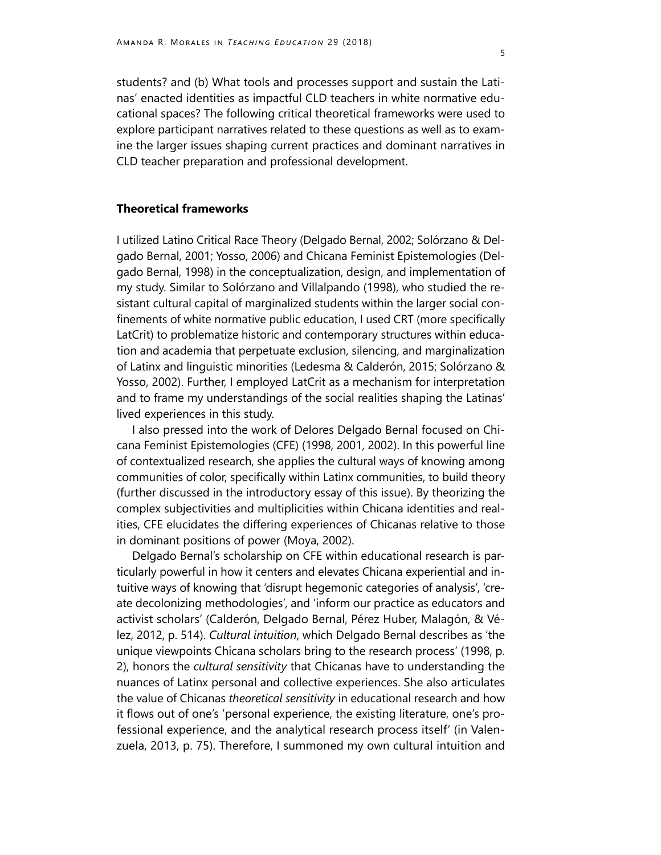students? and (b) What tools and processes support and sustain the Latinas' enacted identities as impactful CLD teachers in white normative educational spaces? The following critical theoretical frameworks were used to explore participant narratives related to these questions as well as to examine the larger issues shaping current practices and dominant narratives in CLD teacher preparation and professional development.

#### **Theoretical frameworks**

I utilized Latino Critical Race Theory (Delgado Bernal, 2002; Solórzano & Delgado Bernal, 2001; Yosso, 2006) and Chicana Feminist Epistemologies (Delgado Bernal, 1998) in the conceptualization, design, and implementation of my study. Similar to Solórzano and Villalpando (1998), who studied the resistant cultural capital of marginalized students within the larger social confinements of white normative public education, I used CRT (more specifically LatCrit) to problematize historic and contemporary structures within education and academia that perpetuate exclusion, silencing, and marginalization of Latinx and linguistic minorities (Ledesma & Calderón, 2015; Solórzano & Yosso, 2002). Further, I employed LatCrit as a mechanism for interpretation and to frame my understandings of the social realities shaping the Latinas' lived experiences in this study.

I also pressed into the work of Delores Delgado Bernal focused on Chicana Feminist Epistemologies (CFE) (1998, 2001, 2002). In this powerful line of contextualized research, she applies the cultural ways of knowing among communities of color, specifically within Latinx communities, to build theory (further discussed in the introductory essay of this issue). By theorizing the complex subjectivities and multiplicities within Chicana identities and realities, CFE elucidates the differing experiences of Chicanas relative to those in dominant positions of power (Moya, 2002).

Delgado Bernal's scholarship on CFE within educational research is particularly powerful in how it centers and elevates Chicana experiential and intuitive ways of knowing that 'disrupt hegemonic categories of analysis', 'create decolonizing methodologies', and 'inform our practice as educators and activist scholars' (Calderón, Delgado Bernal, Pérez Huber, Malagón, & Vélez, 2012, p. 514). *Cultural intuition*, which Delgado Bernal describes as 'the unique viewpoints Chicana scholars bring to the research process' (1998, p. 2), honors the *cultural sensitivity* that Chicanas have to understanding the nuances of Latinx personal and collective experiences. She also articulates the value of Chicanas *theoretical sensitivity* in educational research and how it flows out of one's 'personal experience, the existing literature, one's professional experience, and the analytical research process itself' (in Valenzuela, 2013, p. 75). Therefore, I summoned my own cultural intuition and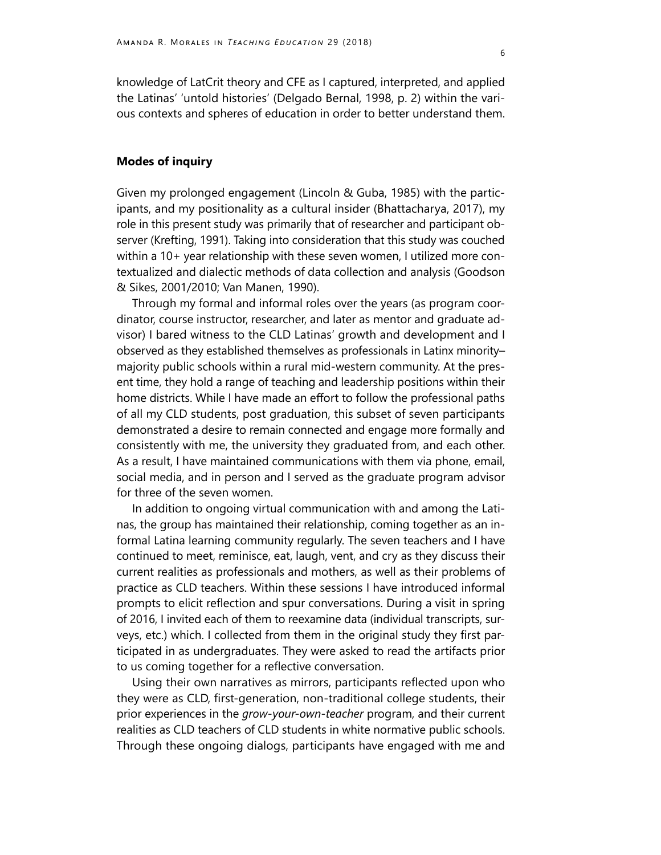knowledge of LatCrit theory and CFE as I captured, interpreted, and applied the Latinas' 'untold histories' (Delgado Bernal, 1998, p. 2) within the various contexts and spheres of education in order to better understand them.

#### **Modes of inquiry**

Given my prolonged engagement (Lincoln & Guba, 1985) with the participants, and my positionality as a cultural insider (Bhattacharya, 2017), my role in this present study was primarily that of researcher and participant observer (Krefting, 1991). Taking into consideration that this study was couched within a 10+ year relationship with these seven women, I utilized more contextualized and dialectic methods of data collection and analysis (Goodson & Sikes, 2001/2010; Van Manen, 1990).

Through my formal and informal roles over the years (as program coordinator, course instructor, researcher, and later as mentor and graduate advisor) I bared witness to the CLD Latinas' growth and development and I observed as they established themselves as professionals in Latinx minority– majority public schools within a rural mid-western community. At the present time, they hold a range of teaching and leadership positions within their home districts. While I have made an effort to follow the professional paths of all my CLD students, post graduation, this subset of seven participants demonstrated a desire to remain connected and engage more formally and consistently with me, the university they graduated from, and each other. As a result, I have maintained communications with them via phone, email, social media, and in person and I served as the graduate program advisor for three of the seven women.

In addition to ongoing virtual communication with and among the Latinas, the group has maintained their relationship, coming together as an informal Latina learning community regularly. The seven teachers and I have continued to meet, reminisce, eat, laugh, vent, and cry as they discuss their current realities as professionals and mothers, as well as their problems of practice as CLD teachers. Within these sessions I have introduced informal prompts to elicit reflection and spur conversations. During a visit in spring of 2016, I invited each of them to reexamine data (individual transcripts, surveys, etc.) which. I collected from them in the original study they first participated in as undergraduates. They were asked to read the artifacts prior to us coming together for a reflective conversation.

Using their own narratives as mirrors, participants reflected upon who they were as CLD, first-generation, non-traditional college students, their prior experiences in the *grow-your-own-teacher* program, and their current realities as CLD teachers of CLD students in white normative public schools. Through these ongoing dialogs, participants have engaged with me and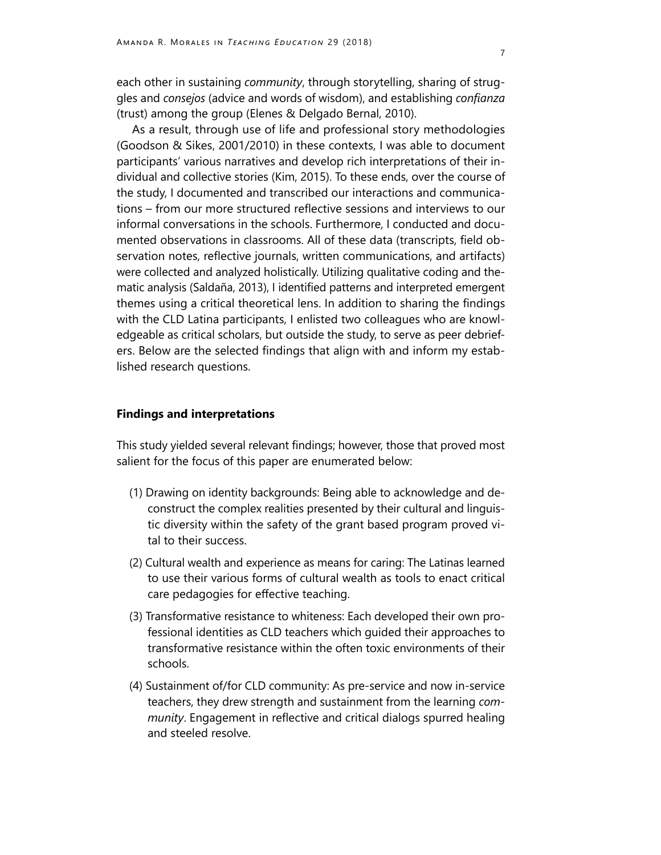each other in sustaining *community*, through storytelling, sharing of struggles and *consejos* (advice and words of wisdom), and establishing *confianza*  (trust) among the group (Elenes & Delgado Bernal, 2010).

As a result, through use of life and professional story methodologies (Goodson & Sikes, 2001/2010) in these contexts, I was able to document participants' various narratives and develop rich interpretations of their individual and collective stories (Kim, 2015). To these ends, over the course of the study, I documented and transcribed our interactions and communications – from our more structured reflective sessions and interviews to our informal conversations in the schools. Furthermore, I conducted and documented observations in classrooms. All of these data (transcripts, field observation notes, reflective journals, written communications, and artifacts) were collected and analyzed holistically. Utilizing qualitative coding and thematic analysis (Saldaña, 2013), I identified patterns and interpreted emergent themes using a critical theoretical lens. In addition to sharing the findings with the CLD Latina participants, I enlisted two colleagues who are knowledgeable as critical scholars, but outside the study, to serve as peer debriefers. Below are the selected findings that align with and inform my established research questions.

#### **Findings and interpretations**

This study yielded several relevant findings; however, those that proved most salient for the focus of this paper are enumerated below:

- (1) Drawing on identity backgrounds: Being able to acknowledge and deconstruct the complex realities presented by their cultural and linguistic diversity within the safety of the grant based program proved vital to their success.
- (2) Cultural wealth and experience as means for caring: The Latinas learned to use their various forms of cultural wealth as tools to enact critical care pedagogies for effective teaching.
- (3) Transformative resistance to whiteness: Each developed their own professional identities as CLD teachers which guided their approaches to transformative resistance within the often toxic environments of their schools.
- (4) Sustainment of/for CLD community: As pre-service and now in-service teachers, they drew strength and sustainment from the learning *community*. Engagement in reflective and critical dialogs spurred healing and steeled resolve.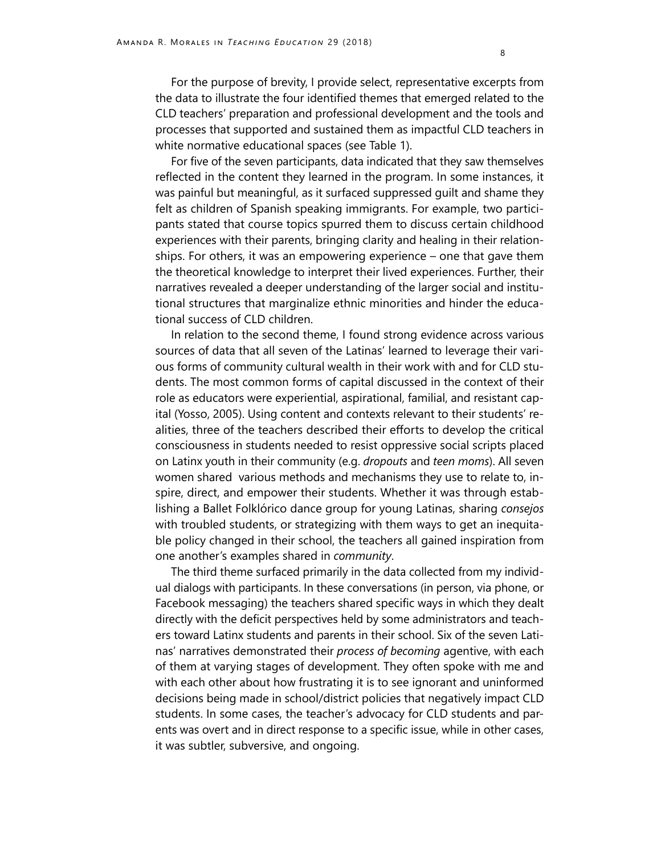For the purpose of brevity, I provide select, representative excerpts from the data to illustrate the four identified themes that emerged related to the CLD teachers' preparation and professional development and the tools and processes that supported and sustained them as impactful CLD teachers in white normative educational spaces (see Table 1).

For five of the seven participants, data indicated that they saw themselves reflected in the content they learned in the program. In some instances, it was painful but meaningful, as it surfaced suppressed guilt and shame they felt as children of Spanish speaking immigrants. For example, two participants stated that course topics spurred them to discuss certain childhood experiences with their parents, bringing clarity and healing in their relationships. For others, it was an empowering experience – one that gave them the theoretical knowledge to interpret their lived experiences. Further, their narratives revealed a deeper understanding of the larger social and institutional structures that marginalize ethnic minorities and hinder the educational success of CLD children.

In relation to the second theme, I found strong evidence across various sources of data that all seven of the Latinas' learned to leverage their various forms of community cultural wealth in their work with and for CLD students. The most common forms of capital discussed in the context of their role as educators were experiential, aspirational, familial, and resistant capital (Yosso, 2005). Using content and contexts relevant to their students' realities, three of the teachers described their efforts to develop the critical consciousness in students needed to resist oppressive social scripts placed on Latinx youth in their community (e.g. *dropouts* and *teen moms*). All seven women shared various methods and mechanisms they use to relate to, inspire, direct, and empower their students. Whether it was through establishing a Ballet Folklórico dance group for young Latinas, sharing *consejos*  with troubled students, or strategizing with them ways to get an inequitable policy changed in their school, the teachers all gained inspiration from one another's examples shared in *community*.

The third theme surfaced primarily in the data collected from my individual dialogs with participants. In these conversations (in person, via phone, or Facebook messaging) the teachers shared specific ways in which they dealt directly with the deficit perspectives held by some administrators and teachers toward Latinx students and parents in their school. Six of the seven Latinas' narratives demonstrated their *process of becoming* agentive, with each of them at varying stages of development. They often spoke with me and with each other about how frustrating it is to see ignorant and uninformed decisions being made in school/district policies that negatively impact CLD students. In some cases, the teacher's advocacy for CLD students and parents was overt and in direct response to a specific issue, while in other cases, it was subtler, subversive, and ongoing.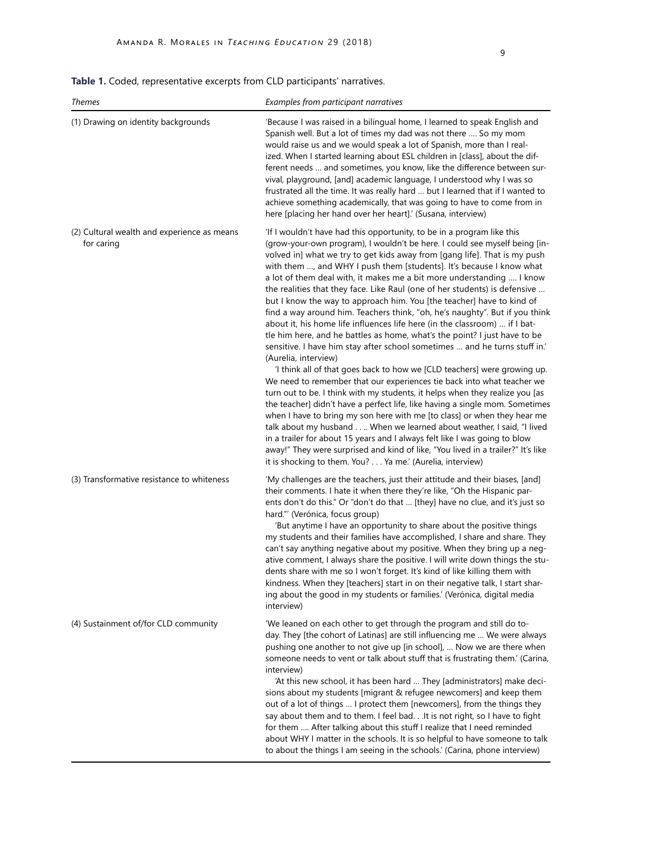#### **Table 1.** Coded, representative excerpts from CLD participants' narratives.

| <b>Themes</b>                                             | Examples from participant narratives                                                                                                                                                                                                                                                                                                                                                                                                                                                                                                                                                                                                                                                                                                                                                                                                                                                                                                                                                                                                                                                                                                                                                                                                                                                                                                                                                                                                                                                                                                                                                                 |
|-----------------------------------------------------------|------------------------------------------------------------------------------------------------------------------------------------------------------------------------------------------------------------------------------------------------------------------------------------------------------------------------------------------------------------------------------------------------------------------------------------------------------------------------------------------------------------------------------------------------------------------------------------------------------------------------------------------------------------------------------------------------------------------------------------------------------------------------------------------------------------------------------------------------------------------------------------------------------------------------------------------------------------------------------------------------------------------------------------------------------------------------------------------------------------------------------------------------------------------------------------------------------------------------------------------------------------------------------------------------------------------------------------------------------------------------------------------------------------------------------------------------------------------------------------------------------------------------------------------------------------------------------------------------------|
| (1) Drawing on identity backgrounds                       | 'Because I was raised in a bilingual home, I learned to speak English and<br>Spanish well. But a lot of times my dad was not there  So my mom<br>would raise us and we would speak a lot of Spanish, more than I real-<br>ized. When I started learning about ESL children in [class], about the dif-<br>ferent needs  and sometimes, you know, like the difference between sur-<br>vival, playground, [and] academic language, I understood why I was so<br>frustrated all the time. It was really hard  but I learned that if I wanted to<br>achieve something academically, that was going to have to come from in<br>here [placing her hand over her heart].' (Susana, interview)                                                                                                                                                                                                                                                                                                                                                                                                                                                                                                                                                                                                                                                                                                                                                                                                                                                                                                                |
| (2) Cultural wealth and experience as means<br>for caring | 'If I wouldn't have had this opportunity, to be in a program like this<br>(grow-your-own program), I wouldn't be here. I could see myself being [in-<br>volved in] what we try to get kids away from [gang life]. That is my push<br>with them , and WHY I push them [students]. It's because I know what<br>a lot of them deal with, it makes me a bit more understanding  I know<br>the realities that they face. Like Raul (one of her students) is defensive<br>but I know the way to approach him. You [the teacher] have to kind of<br>find a way around him. Teachers think, "oh, he's naughty". But if you think<br>about it, his home life influences life here (in the classroom)  if I bat-<br>tle him here, and he battles as home, what's the point? I just have to be<br>sensitive. I have him stay after school sometimes  and he turns stuff in.'<br>(Aurelia, interview)<br>'I think all of that goes back to how we [CLD teachers] were growing up.<br>We need to remember that our experiences tie back into what teacher we<br>turn out to be. I think with my students, it helps when they realize you [as<br>the teacher] didn't have a perfect life, like having a single mom. Sometimes<br>when I have to bring my son here with me [to class] or when they hear me<br>talk about my husband. When we learned about weather, I said, "I lived<br>in a trailer for about 15 years and I always felt like I was going to blow<br>away!" They were surprised and kind of like, "You lived in a trailer?" It's like<br>it is shocking to them. You? Ya me.' (Aurelia, interview) |
| (3) Transformative resistance to whiteness                | 'My challenges are the teachers, just their attitude and their biases, [and]<br>their comments. I hate it when there they're like, "Oh the Hispanic par-<br>ents don't do this." Or "don't do that  [they] have no clue, and it's just so<br>hard."' (Verónica, focus group)<br>'But anytime I have an opportunity to share about the positive things<br>my students and their families have accomplished, I share and share. They<br>can't say anything negative about my positive. When they bring up a neg-<br>ative comment, I always share the positive. I will write down things the stu-<br>dents share with me so I won't forget. It's kind of like killing them with<br>kindness. When they [teachers] start in on their negative talk, I start shar-<br>ing about the good in my students or families.' (Verónica, digital media<br>interview)                                                                                                                                                                                                                                                                                                                                                                                                                                                                                                                                                                                                                                                                                                                                             |
| (4) Sustainment of/for CLD community                      | 'We leaned on each other to get through the program and still do to-<br>day. They [the cohort of Latinas] are still influencing me  We were always<br>pushing one another to not give up [in school],  Now we are there when<br>someone needs to vent or talk about stuff that is frustrating them.' (Carina,<br>interview)<br>'At this new school, it has been hard  They [administrators] make deci-<br>sions about my students [migrant & refugee newcomers] and keep them<br>out of a lot of things  I protect them [newcomers], from the things they<br>say about them and to them. I feel bad. It is not right, so I have to fight<br>for them  After talking about this stuff I realize that I need reminded<br>about WHY I matter in the schools. It is so helpful to have someone to talk<br>to about the things I am seeing in the schools.' (Carina, phone interview)                                                                                                                                                                                                                                                                                                                                                                                                                                                                                                                                                                                                                                                                                                                     |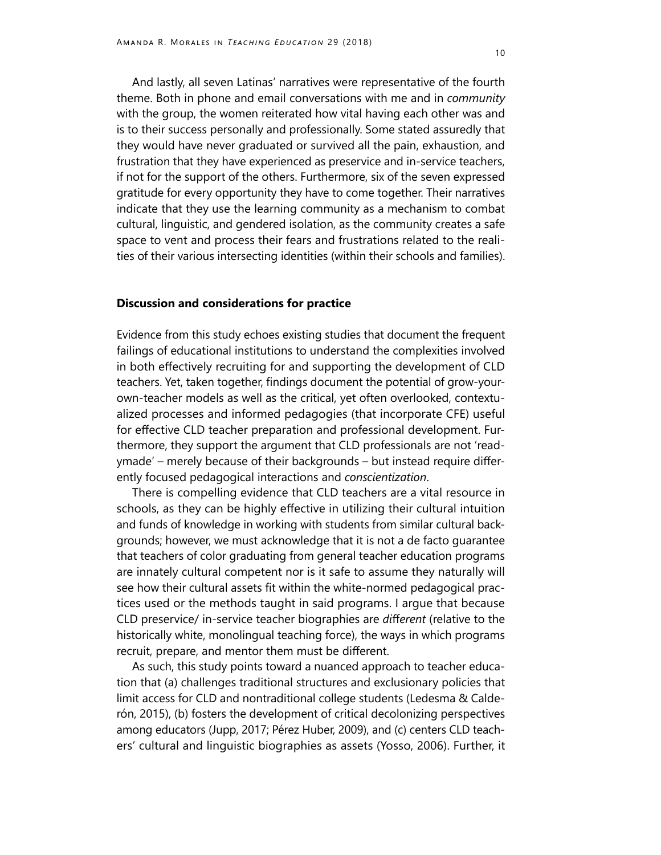And lastly, all seven Latinas' narratives were representative of the fourth theme. Both in phone and email conversations with me and in *community*  with the group, the women reiterated how vital having each other was and is to their success personally and professionally. Some stated assuredly that they would have never graduated or survived all the pain, exhaustion, and frustration that they have experienced as preservice and in-service teachers, if not for the support of the others. Furthermore, six of the seven expressed gratitude for every opportunity they have to come together. Their narratives indicate that they use the learning community as a mechanism to combat cultural, linguistic, and gendered isolation, as the community creates a safe space to vent and process their fears and frustrations related to the realities of their various intersecting identities (within their schools and families).

#### **Discussion and considerations for practice**

Evidence from this study echoes existing studies that document the frequent failings of educational institutions to understand the complexities involved in both effectively recruiting for and supporting the development of CLD teachers. Yet, taken together, findings document the potential of grow-yourown-teacher models as well as the critical, yet often overlooked, contextualized processes and informed pedagogies (that incorporate CFE) useful for effective CLD teacher preparation and professional development. Furthermore, they support the argument that CLD professionals are not 'readymade' – merely because of their backgrounds – but instead require differently focused pedagogical interactions and *conscientization*.

There is compelling evidence that CLD teachers are a vital resource in schools, as they can be highly effective in utilizing their cultural intuition and funds of knowledge in working with students from similar cultural backgrounds; however, we must acknowledge that it is not a de facto guarantee that teachers of color graduating from general teacher education programs are innately cultural competent nor is it safe to assume they naturally will see how their cultural assets fit within the white-normed pedagogical practices used or the methods taught in said programs. I argue that because CLD preservice/ in-service teacher biographies are *di*ff*erent* (relative to the historically white, monolingual teaching force), the ways in which programs recruit, prepare, and mentor them must be different.

As such, this study points toward a nuanced approach to teacher education that (a) challenges traditional structures and exclusionary policies that limit access for CLD and nontraditional college students (Ledesma & Calderón, 2015), (b) fosters the development of critical decolonizing perspectives among educators (Jupp, 2017; Pérez Huber, 2009), and (c) centers CLD teachers' cultural and linguistic biographies as assets (Yosso, 2006). Further, it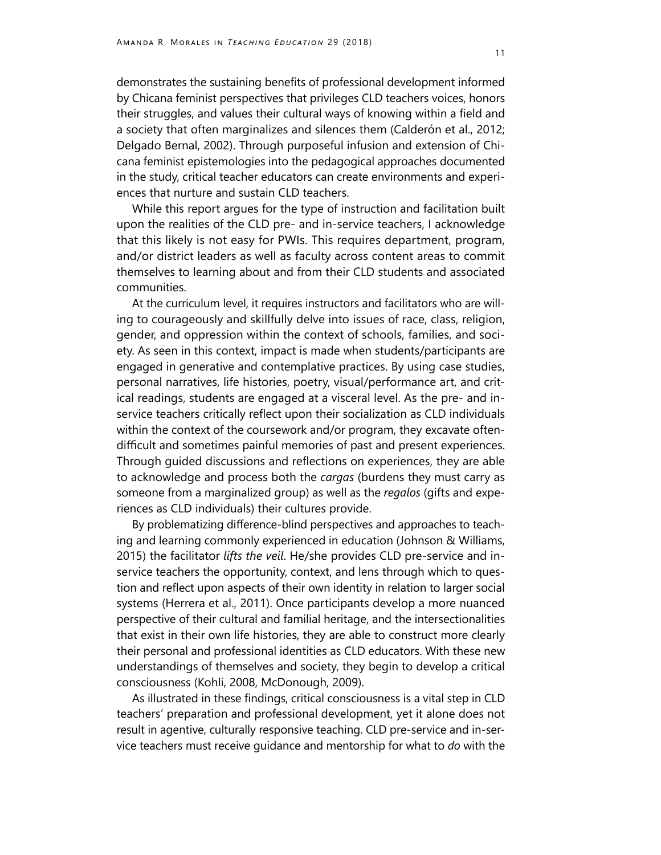demonstrates the sustaining benefits of professional development informed by Chicana feminist perspectives that privileges CLD teachers voices, honors their struggles, and values their cultural ways of knowing within a field and a society that often marginalizes and silences them (Calderón et al., 2012; Delgado Bernal, 2002). Through purposeful infusion and extension of Chicana feminist epistemologies into the pedagogical approaches documented in the study, critical teacher educators can create environments and experiences that nurture and sustain CLD teachers.

While this report argues for the type of instruction and facilitation built upon the realities of the CLD pre- and in-service teachers, I acknowledge that this likely is not easy for PWIs. This requires department, program, and/or district leaders as well as faculty across content areas to commit themselves to learning about and from their CLD students and associated communities.

At the curriculum level, it requires instructors and facilitators who are willing to courageously and skillfully delve into issues of race, class, religion, gender, and oppression within the context of schools, families, and society. As seen in this context, impact is made when students/participants are engaged in generative and contemplative practices. By using case studies, personal narratives, life histories, poetry, visual/performance art, and critical readings, students are engaged at a visceral level. As the pre- and inservice teachers critically reflect upon their socialization as CLD individuals within the context of the coursework and/or program, they excavate oftendifficult and sometimes painful memories of past and present experiences. Through guided discussions and reflections on experiences, they are able to acknowledge and process both the *cargas* (burdens they must carry as someone from a marginalized group) as well as the *regalos* (gifts and experiences as CLD individuals) their cultures provide.

By problematizing difference-blind perspectives and approaches to teaching and learning commonly experienced in education (Johnson & Williams, 2015) the facilitator *lifts the veil*. He/she provides CLD pre-service and inservice teachers the opportunity, context, and lens through which to question and reflect upon aspects of their own identity in relation to larger social systems (Herrera et al., 2011). Once participants develop a more nuanced perspective of their cultural and familial heritage, and the intersectionalities that exist in their own life histories, they are able to construct more clearly their personal and professional identities as CLD educators. With these new understandings of themselves and society, they begin to develop a critical consciousness (Kohli, 2008, McDonough, 2009).

As illustrated in these findings, critical consciousness is a vital step in CLD teachers' preparation and professional development, yet it alone does not result in agentive, culturally responsive teaching. CLD pre-service and in-service teachers must receive guidance and mentorship for what to *do* with the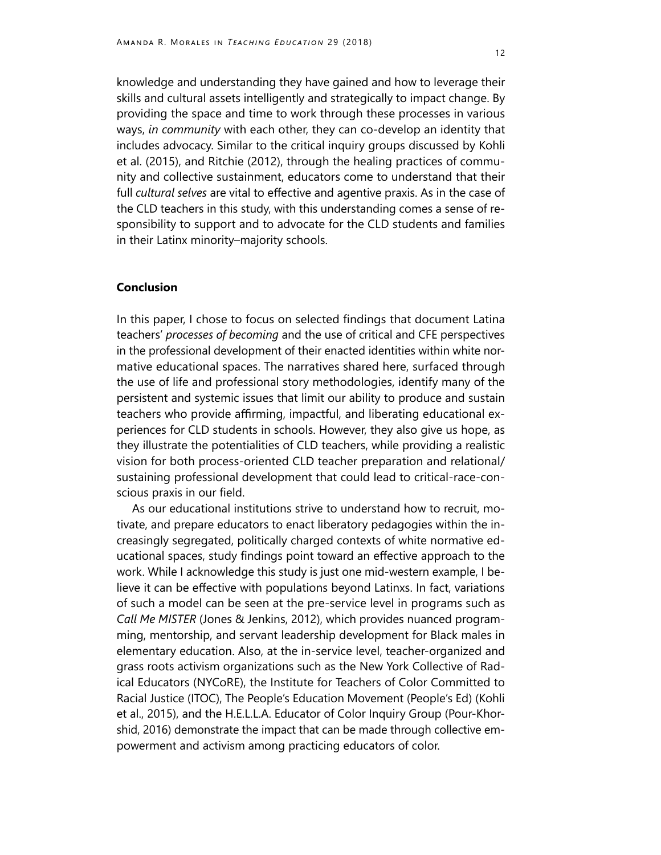knowledge and understanding they have gained and how to leverage their skills and cultural assets intelligently and strategically to impact change. By providing the space and time to work through these processes in various ways, *in community* with each other, they can co-develop an identity that includes advocacy. Similar to the critical inquiry groups discussed by Kohli et al. (2015), and Ritchie (2012), through the healing practices of community and collective sustainment, educators come to understand that their full *cultural selves* are vital to effective and agentive praxis. As in the case of the CLD teachers in this study, with this understanding comes a sense of responsibility to support and to advocate for the CLD students and families in their Latinx minority–majority schools.

#### **Conclusion**

In this paper, I chose to focus on selected findings that document Latina teachers' *processes of becoming* and the use of critical and CFE perspectives in the professional development of their enacted identities within white normative educational spaces. The narratives shared here, surfaced through the use of life and professional story methodologies, identify many of the persistent and systemic issues that limit our ability to produce and sustain teachers who provide affirming, impactful, and liberating educational experiences for CLD students in schools. However, they also give us hope, as they illustrate the potentialities of CLD teachers, while providing a realistic vision for both process-oriented CLD teacher preparation and relational/ sustaining professional development that could lead to critical-race-conscious praxis in our field.

As our educational institutions strive to understand how to recruit, motivate, and prepare educators to enact liberatory pedagogies within the increasingly segregated, politically charged contexts of white normative educational spaces, study findings point toward an effective approach to the work. While I acknowledge this study is just one mid-western example, I believe it can be effective with populations beyond Latinxs. In fact, variations of such a model can be seen at the pre-service level in programs such as *Call Me MISTER* (Jones & Jenkins, 2012), which provides nuanced programming, mentorship, and servant leadership development for Black males in elementary education. Also, at the in-service level, teacher-organized and grass roots activism organizations such as the New York Collective of Radical Educators (NYCoRE), the Institute for Teachers of Color Committed to Racial Justice (ITOC), The People's Education Movement (People's Ed) (Kohli et al., 2015), and the H.E.L.L.A. Educator of Color Inquiry Group (Pour-Khorshid, 2016) demonstrate the impact that can be made through collective empowerment and activism among practicing educators of color.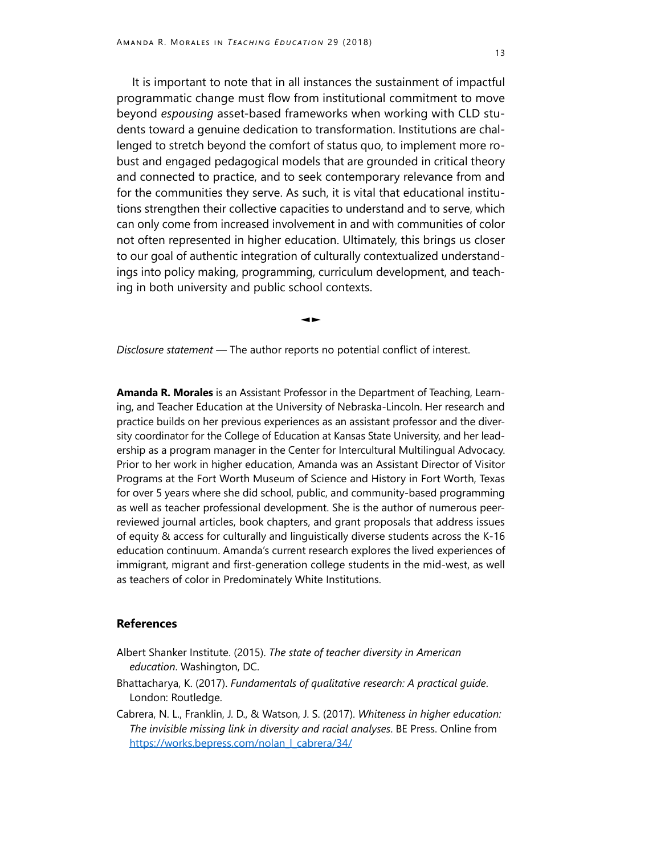It is important to note that in all instances the sustainment of impactful programmatic change must flow from institutional commitment to move beyond *espousing* asset-based frameworks when working with CLD students toward a genuine dedication to transformation. Institutions are challenged to stretch beyond the comfort of status quo, to implement more robust and engaged pedagogical models that are grounded in critical theory and connected to practice, and to seek contemporary relevance from and for the communities they serve. As such, it is vital that educational institutions strengthen their collective capacities to understand and to serve, which can only come from increased involvement in and with communities of color not often represented in higher education. Ultimately, this brings us closer to our goal of authentic integration of culturally contextualized understandings into policy making, programming, curriculum development, and teaching in both university and public school contexts.

*Disclosure statement —* The author reports no potential conflict of interest.

◄►

**Amanda R. Morales** is an Assistant Professor in the Department of Teaching, Learning, and Teacher Education at the University of Nebraska-Lincoln. Her research and practice builds on her previous experiences as an assistant professor and the diversity coordinator for the College of Education at Kansas State University, and her leadership as a program manager in the Center for Intercultural Multilingual Advocacy. Prior to her work in higher education, Amanda was an Assistant Director of Visitor Programs at the Fort Worth Museum of Science and History in Fort Worth, Texas for over 5 years where she did school, public, and community-based programming as well as teacher professional development. She is the author of numerous peerreviewed journal articles, book chapters, and grant proposals that address issues of equity & access for culturally and linguistically diverse students across the K-16 education continuum. Amanda's current research explores the lived experiences of immigrant, migrant and first-generation college students in the mid-west, as well as teachers of color in Predominately White Institutions.

#### **References**

- Albert Shanker Institute. (2015). *The state of teacher diversity in American education*. Washington, DC.
- Bhattacharya, K. (2017). *Fundamentals of qualitative research: A practical guide*. London: Routledge.
- Cabrera, N. L., Franklin, J. D., & Watson, J. S. (2017). *Whiteness in higher education: The invisible missing link in diversity and racial analyses*. BE Press. Online from [https://works.bepress.com/nolan\\_l\\_cabrera/34/](https://works.bepress.com/nolan_l_cabrera/34/)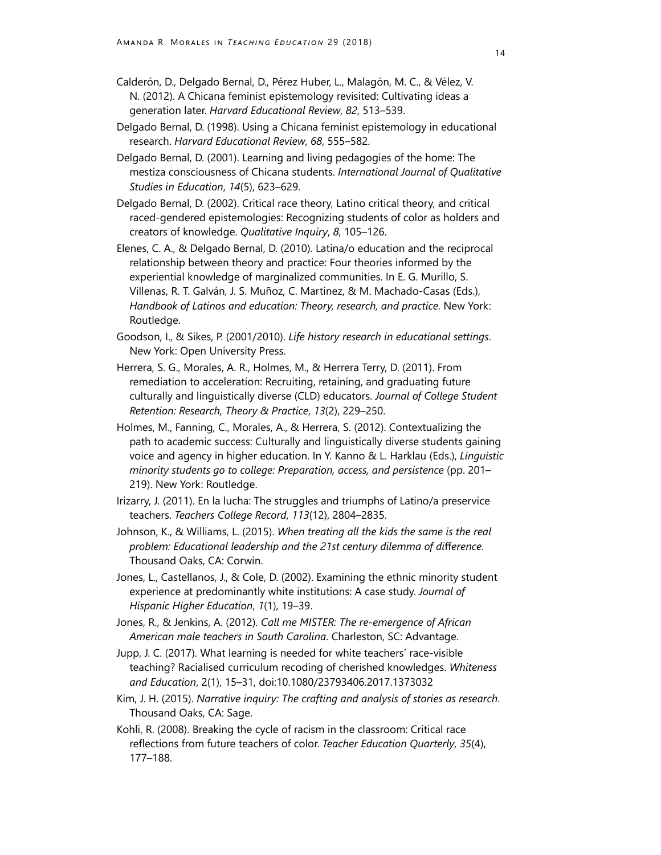- Calderón, D., Delgado Bernal, D., Pérez Huber, L., Malagón, M. C., & Vélez, V. N. (2012). A Chicana feminist epistemology revisited: Cultivating ideas a generation later. *Harvard Educational Review*, *82*, 513–539.
- Delgado Bernal, D. (1998). Using a Chicana feminist epistemology in educational research. *Harvard Educational Review*, *68*, 555–582.
- Delgado Bernal, D. (2001). Learning and living pedagogies of the home: The mestiza consciousness of Chicana students. *International Journal of Qualitative Studies in Education*, *14*(5), 623–629.
- Delgado Bernal, D. (2002). Critical race theory, Latino critical theory, and critical raced-gendered epistemologies: Recognizing students of color as holders and creators of knowledge. *Qualitative Inquiry*, *8*, 105–126.
- Elenes, C. A., & Delgado Bernal, D. (2010). Latina/o education and the reciprocal relationship between theory and practice: Four theories informed by the experiential knowledge of marginalized communities. In E. G. Murillo, S. Villenas, R. T. Galván, J. S. Muñoz, C. Martínez, & M. Machado-Casas (Eds.), *Handbook of Latinos and education: Theory, research, and practice*. New York: Routledge.
- Goodson, I., & Sikes, P. (2001/2010). *Life history research in educational settings*. New York: Open University Press.
- Herrera, S. G., Morales, A. R., Holmes, M., & Herrera Terry, D. (2011). From remediation to acceleration: Recruiting, retaining, and graduating future culturally and linguistically diverse (CLD) educators. *Journal of College Student Retention: Research, Theory & Practice*, *13*(2), 229–250.
- Holmes, M., Fanning, C., Morales, A., & Herrera, S. (2012). Contextualizing the path to academic success: Culturally and linguistically diverse students gaining voice and agency in higher education. In Y. Kanno & L. Harklau (Eds.), *Linguistic minority students go to college: Preparation, access, and persistence* (pp. 201– 219). New York: Routledge.
- Irizarry, J. (2011). En la lucha: The struggles and triumphs of Latino/a preservice teachers. *Teachers College Record*, *113*(12), 2804–2835.
- Johnson, K., & Williams, L. (2015). *When treating all the kids the same is the real problem: Educational leadership and the 21st century dilemma of di*ff*erence*. Thousand Oaks, CA: Corwin.
- Jones, L., Castellanos, J., & Cole, D. (2002). Examining the ethnic minority student experience at predominantly white institutions: A case study. *Journal of Hispanic Higher Education*, *1*(1), 19–39.
- Jones, R., & Jenkins, A. (2012). *Call me MISTER: The re-emergence of African American male teachers in South Carolina*. Charleston, SC: Advantage.
- Jupp, J. C. (2017). What learning is needed for white teachers' race-visible teaching? Racialised curriculum recoding of cherished knowledges. *Whiteness and Education*, 2(1), 15–31, doi:10.1080/23793406.2017.1373032
- Kim, J. H. (2015). *Narrative inquiry: The crafting and analysis of stories as research*. Thousand Oaks, CA: Sage.
- Kohli, R. (2008). Breaking the cycle of racism in the classroom: Critical race reflections from future teachers of color. *Teacher Education Quarterly*, *35*(4), 177–188.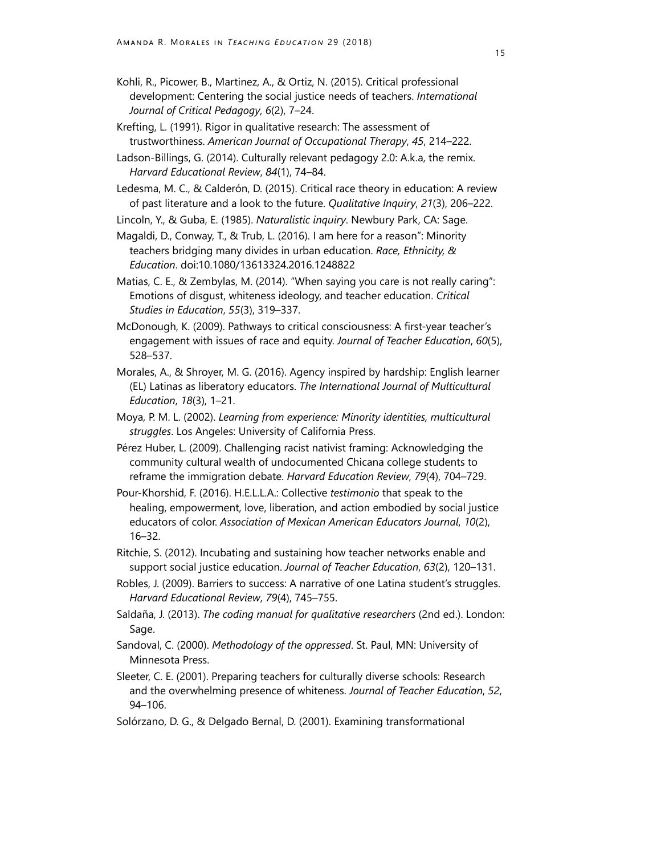- Kohli, R., Picower, B., Martinez, A., & Ortiz, N. (2015). Critical professional development: Centering the social justice needs of teachers. *International Journal of Critical Pedagogy*, *6*(2), 7–24.
- Krefting, L. (1991). Rigor in qualitative research: The assessment of trustworthiness. *American Journal of Occupational Therapy*, *45*, 214–222.
- Ladson-Billings, G. (2014). Culturally relevant pedagogy 2.0: A.k.a, the remix. *Harvard Educational Review*, *84*(1), 74–84.
- Ledesma, M. C., & Calderón, D. (2015). Critical race theory in education: A review of past literature and a look to the future. *Qualitative Inquiry*, *21*(3), 206–222.
- Lincoln, Y., & Guba, E. (1985). *Naturalistic inquiry*. Newbury Park, CA: Sage.
- Magaldi, D., Conway, T., & Trub, L. (2016). I am here for a reason": Minority teachers bridging many divides in urban education. *Race, Ethnicity, & Education*. doi:10.1080/13613324.2016.1248822
- Matias, C. E., & Zembylas, M. (2014). "When saying you care is not really caring": Emotions of disgust, whiteness ideology, and teacher education. *Critical Studies in Education*, *55*(3), 319–337.
- McDonough, K. (2009). Pathways to critical consciousness: A first-year teacher's engagement with issues of race and equity. *Journal of Teacher Education*, *60*(5), 528–537.
- Morales, A., & Shroyer, M. G. (2016). Agency inspired by hardship: English learner (EL) Latinas as liberatory educators. *The International Journal of Multicultural Education*, *18*(3), 1–21.
- Moya, P. M. L. (2002). *Learning from experience: Minority identities, multicultural struggles*. Los Angeles: University of California Press.
- Pérez Huber, L. (2009). Challenging racist nativist framing: Acknowledging the community cultural wealth of undocumented Chicana college students to reframe the immigration debate. *Harvard Education Review*, *79*(4), 704–729.
- Pour-Khorshid, F. (2016). H.E.L.L.A.: Collective *testimonio* that speak to the healing, empowerment, love, liberation, and action embodied by social justice educators of color. *Association of Mexican American Educators Journal*, *10*(2), 16–32.
- Ritchie, S. (2012). Incubating and sustaining how teacher networks enable and support social justice education. *Journal of Teacher Education*, *63*(2), 120–131.
- Robles, J. (2009). Barriers to success: A narrative of one Latina student's struggles. *Harvard Educational Review*, *79*(4), 745–755.
- Saldaña, J. (2013). *The coding manual for qualitative researchers* (2nd ed.). London: Sage.
- Sandoval, C. (2000). *Methodology of the oppressed*. St. Paul, MN: University of Minnesota Press.
- Sleeter, C. E. (2001). Preparing teachers for culturally diverse schools: Research and the overwhelming presence of whiteness. *Journal of Teacher Education*, *52*, 94–106.
- Solórzano, D. G., & Delgado Bernal, D. (2001). Examining transformational